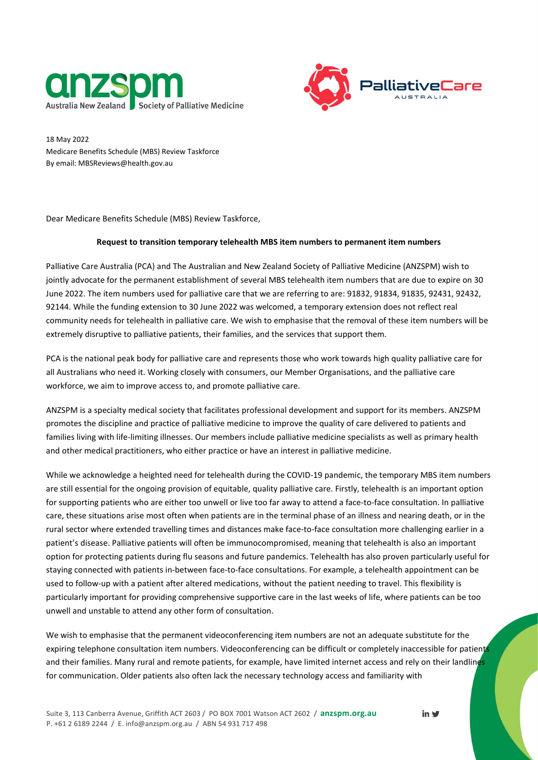



18 May 2022 Medicare Benefits Schedule (MBS) Review Taskforce By email: MBSReviews@health.gov.au

Dear Medicare Benefits Schedule (MBS) Review Taskforce,

## **Request to transition temporary telehealth MBS item numbers to permanent item numbers**

Palliative Care Australia (PCA) and The Australian and New Zealand Society of Palliative Medicine (ANZSPM) wish to jointly advocate for the permanent establishment of several MBS telehealth item numbers that are due to expire on 30 June 2022. The item numbers used for palliative care that we are referring to are: 91832, 91834, 91835, 92431, 92432, 92144. While the funding extension to 30 June 2022 was welcomed, a temporary extension does not reflect real community needs for telehealth in palliative care. We wish to emphasise that the removal of these item numbers will be extremely disruptive to palliative patients, their families, and the services that support them.

PCA is the national peak body for palliative care and represents those who work towards high quality palliative care for all Australians who need it. Working closely with consumers, our Member Organisations, and the palliative care workforce, we aim to improve access to, and promote palliative care.

ANZSPM is a specialty medical society that facilitates professional development and support for its members. ANZSPM promotes the discipline and practice of palliative medicine to improve the quality of care delivered to patients and families living with life-limiting illnesses. Our members include palliative medicine specialists as well as primary health and other medical practitioners, who either practice or have an interest in palliative medicine.

While we acknowledge a heighted need for telehealth during the COVID-19 pandemic, the temporary MBS item numbers are still essential for the ongoing provision of equitable, quality palliative care. Firstly, telehealth is an important option for supporting patients who are either too unwell or live too far away to attend a face-to-face consultation. In palliative care, these situations arise most often when patients are in the terminal phase of an illness and nearing death, or in the rural sector where extended travelling times and distances make face-to-face consultation more challenging earlier in a patient's disease. Palliative patients will often be immunocompromised, meaning that telehealth is also an important option for protecting patients during flu seasons and future pandemics. Telehealth has also proven particularly useful for staying connected with patients in-between face-to-face consultations. For example, a telehealth appointment can be used to follow-up with a patient after altered medications, without the patient needing to travel. This flexibility is particularly important for providing comprehensive supportive care in the last weeks of life, where patients can be too unwell and unstable to attend any other form of consultation.

We wish to emphasise that the permanent videoconferencing item numbers are not an adequate substitute for the expiring telephone consultation item numbers. Videoconferencing can be difficult or completely inaccessible for patients and their families. Many rural and remote patients, for example, have limited internet access and rely on their landlines for communication. Older patients also often lack the necessary technology access and familiarity with